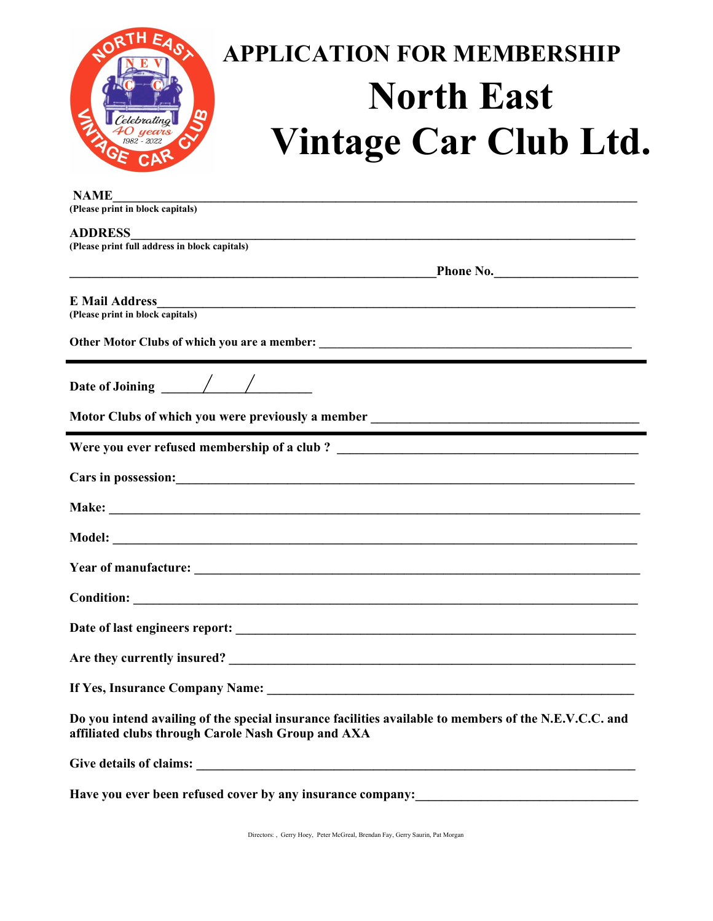

| <b>NAME</b><br>(Please print in block capitals)                                                                                                                                                                                      |
|--------------------------------------------------------------------------------------------------------------------------------------------------------------------------------------------------------------------------------------|
| <b>ADDRESS</b>                                                                                                                                                                                                                       |
| (Please print full address in block capitals)                                                                                                                                                                                        |
|                                                                                                                                                                                                                                      |
| <b>E</b> Mail Address<br>(Please print in block capitals)                                                                                                                                                                            |
|                                                                                                                                                                                                                                      |
|                                                                                                                                                                                                                                      |
|                                                                                                                                                                                                                                      |
|                                                                                                                                                                                                                                      |
| Cars in possession: <u>contract the contract of the contract of the contract of the contract of the contract of the contract of the contract of the contract of the contract of the contract of the contract of the contract of </u> |
|                                                                                                                                                                                                                                      |
|                                                                                                                                                                                                                                      |
|                                                                                                                                                                                                                                      |
|                                                                                                                                                                                                                                      |
|                                                                                                                                                                                                                                      |
|                                                                                                                                                                                                                                      |
|                                                                                                                                                                                                                                      |
| Do you intend availing of the special insurance facilities available to members of the N.E.V.C.C. and<br>affiliated clubs through Carole Nash Group and AXA                                                                          |
|                                                                                                                                                                                                                                      |
| Have you ever been refused cover by any insurance company:                                                                                                                                                                           |